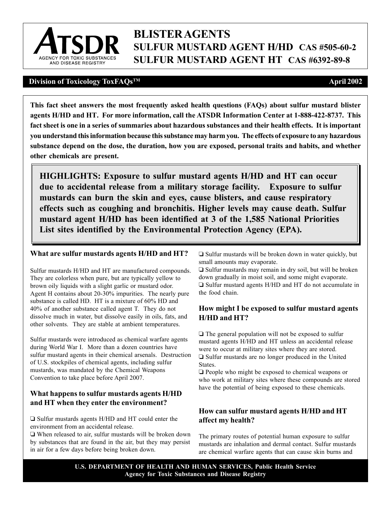

# **BLISTER AGENTS SULFUR MUSTARD AGENT H/HD CAS #505-60-2 SULFUR MUSTARD AGENT HT CAS #6392-89-8**

## **Division of Toxicology ToxFAQsTM April 2002**

 **agents H/HD and HT. For more information, call the ATSDR Information Center at 1-888-422-8737. This you understand this information because this substance may harm you. The effects of exposure to any hazardous This fact sheet answers the most frequently asked health questions (FAQs) about sulfur mustard blister fact sheet is one in a series of summaries about hazardous substances and their health effects. It is important substance depend on the dose, the duration, how you are exposed, personal traits and habits, and whether other chemicals are present.** 

**HIGHLIGHTS: Exposure to sulfur mustard agents H/HD and HT can occur due to accidental release from a military storage facility. Exposure to sulfur mustards can burn the skin and eyes, cause blisters, and cause respiratory effects such as coughing and bronchitis. Higher levels may cause death. Sulfur mustard agent H/HD has been identified at 3 of the 1,585 National Priorities List sites identified by the Environmental Protection Agency (EPA).** 

## **What are sulfur mustards agents H/HD and HT?**

 40% of another substance called agent T. They do not Sulfur mustards H/HD and HT are manufactured compounds. They are colorless when pure, but are typically yellow to brown oily liquids with a slight garlic or mustard odor. Agent H contains about 20-30% impurities. The nearly pure substance is called HD. HT is a mixture of 60% HD and dissolve much in water, but dissolve easily in oils, fats, and other solvents. They are stable at ambient temperatures.

Sulfur mustards were introduced as chemical warfare agents during World War I. More than a dozen countries have sulfur mustard agents in their chemical arsenals. Destruction of U.S. stockpiles of chemical agents, including sulfur mustards, was mandated by the Chemical Weapons Convention to take place before April 2007.

## **What happens to sulfur mustards agents H/HD and HT when they enter the environment?**

 $\Box$  Sulfur mustards agents H/HD and HT could enter the environment from an accidental release.

 $\Box$  When released to air, sulfur mustards will be broken down by substances that are found in the air, but they may persist in air for a few days before being broken down.

 $\Box$  Sulfur mustards will be broken down in water quickly, but small amounts may evaporate.

 $\Box$  Sulfur mustards may remain in dry soil, but will be broken down gradually in moist soil, and some might evaporate. ' Sulfur mustard agents H/HD and HT do not accumulate in the food chain.

## **How might I be exposed to sulfur mustard agents H/HD and HT?**

 $\Box$  The general population will not be exposed to sulfur mustard agents H/HD and HT unless an accidental release were to occur at military sites where they are stored.  $\Box$  Sulfur mustards are no longer produced in the United States.

 $\Box$  People who might be exposed to chemical weapons or who work at military sites where these compounds are stored have the potential of being exposed to these chemicals.

## **How can sulfur mustard agents H/HD and HT affect my health?**

The primary routes of potential human exposure to sulfur mustards are inhalation and dermal contact. Sulfur mustards are chemical warfare agents that can cause skin burns and